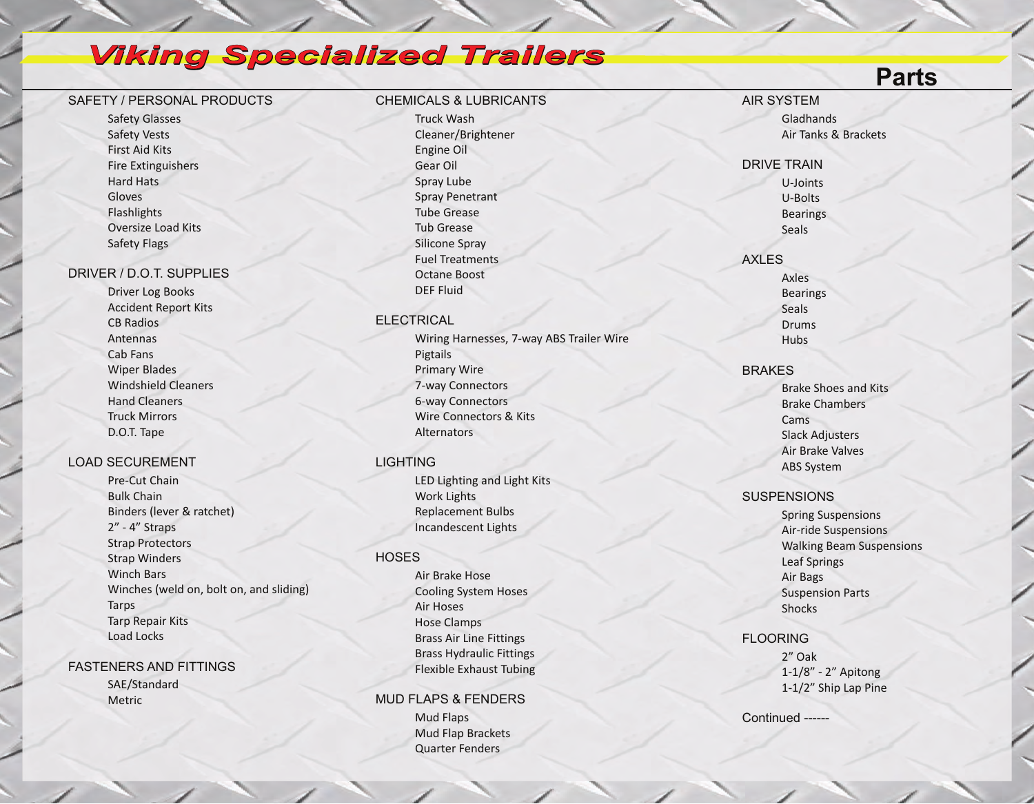## *Viking Specialized Trailers*

## SAFETY / PERSONAL PRODUCTS

Safety Glasses Safety Vests First Aid Kits Fire Extinguishers Hard Hats Gloves Flashlights Oversize Load Kits Safety Flags

## DRIVER / D.O.T. SUPPLIES

Driver Log Books Accident Report Kits CB Radios Antennas Cab Fans Wiper Blades Windshield Cleaners Hand Cleaners Truck Mirrors D.O.T. Tape

## LOAD SECUREMENT

Pre-Cut Chain Bulk Chain Binders (lever & ratchet) 2" - 4" Straps Strap Protectors Strap Winders Winch Bars Winches (weld on, bolt on, and sliding) **Tarps** Tarp Repair Kits Load Locks

FASTENERS AND FITTINGS SAE/Standard Metric

## CHEMICALS & LUBRICANTS

Truck Wash Cleaner/Brightener Engine Oil Gear Oil Spray Lube Spray Penetrant Tube Grease Tub Grease Silicone Spray Fuel Treatments Octane Boost DEF Fluid

## ELECTRICAL

Wiring Harnesses, 7-way ABS Trailer Wire Pigtails Primary Wire 7-way Connectors 6-way Connectors Wire Connectors & Kits **Alternators** 

## **LIGHTING**

LED Lighting and Light Kits Work Lights Replacement Bulbs Incandescent Lights

## **HOSES**

Air Brake Hose Cooling System Hoses Air Hoses Hose Clamps Brass Air Line Fittings Brass Hydraulic Fittings Flexible Exhaust Tubing

#### MUD FLAPS & FENDERS

Mud Flaps Mud Flap Brackets Quarter Fenders

AIR SYSTEM Gladhands Air Tanks & Brackets

DRIVE TRAIN U-Joints U-Bolts **Bearings Seals** 

## AXLES Axles

**Bearings** Seals Drums Hubs

#### **BRAKES**

Brake Shoes and Kits Brake Chambers Cams Slack Adjusters Air Brake Valves ABS System

## **SUSPENSIONS**

Spring Suspensions Air-ride Suspensions Walking Beam Suspensions Leaf Springs Air Bags Suspension Parts Shocks

## FLOORING

2" Oak 1-1/8" - 2" Apitong 1-1/2" Ship Lap Pine

Continued ------

## **Parts**